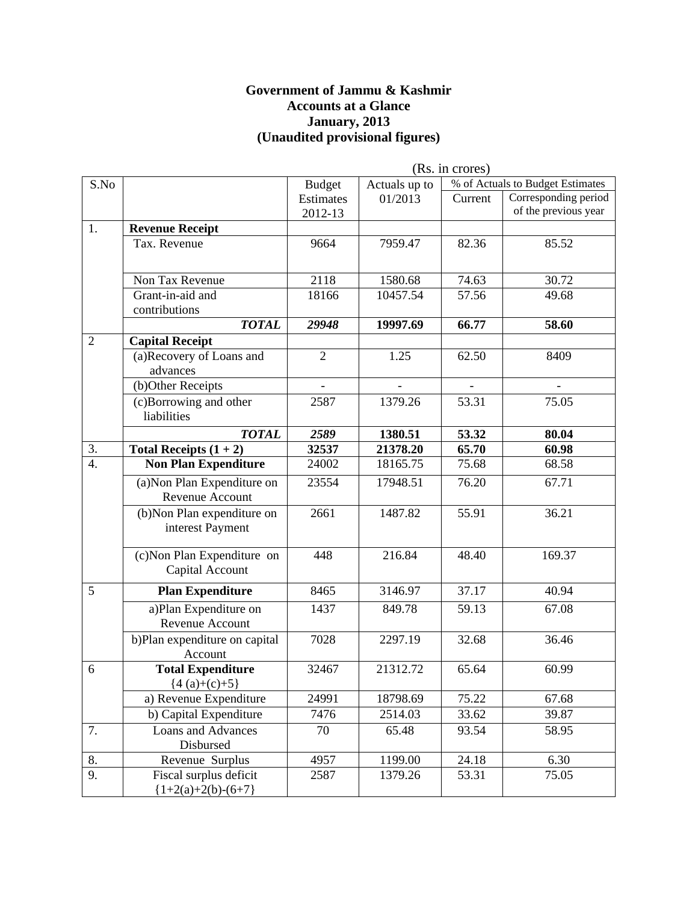#### **Government of Jammu & Kashmir Accounts at a Glance January, 2013 (Unaudited provisional figures)**

|                  |                                          | (Rs. in crores) |               |         |                                  |
|------------------|------------------------------------------|-----------------|---------------|---------|----------------------------------|
| S.No             |                                          | <b>Budget</b>   | Actuals up to |         | % of Actuals to Budget Estimates |
|                  |                                          | Estimates       | 01/2013       | Current | Corresponding period             |
|                  |                                          | 2012-13         |               |         | of the previous year             |
| 1.               | <b>Revenue Receipt</b>                   |                 |               |         |                                  |
|                  | Tax. Revenue                             | 9664            | 7959.47       | 82.36   | 85.52                            |
|                  |                                          |                 |               |         |                                  |
|                  | Non Tax Revenue                          | 2118            | 1580.68       | 74.63   | 30.72                            |
|                  | Grant-in-aid and                         | 18166           | 10457.54      | 57.56   | 49.68                            |
|                  | contributions                            |                 |               |         |                                  |
|                  | <b>TOTAL</b>                             | 29948           | 19997.69      | 66.77   | 58.60                            |
| $\overline{2}$   | <b>Capital Receipt</b>                   |                 |               |         |                                  |
|                  | (a)Recovery of Loans and                 | $\overline{2}$  | 1.25          | 62.50   | 8409                             |
|                  | advances                                 |                 |               |         |                                  |
|                  | (b)Other Receipts                        |                 |               |         |                                  |
|                  | (c)Borrowing and other                   | 2587            | 1379.26       | 53.31   | 75.05                            |
|                  | liabilities                              |                 |               |         |                                  |
|                  | <b>TOTAL</b>                             | 2589            | 1380.51       | 53.32   | 80.04                            |
| 3.               | Total Receipts $(1 + 2)$                 | 32537           | 21378.20      | 65.70   | 60.98                            |
| $\overline{4}$ . | <b>Non Plan Expenditure</b>              | 24002           | 18165.75      | 75.68   | 68.58                            |
|                  | (a) Non Plan Expenditure on              | 23554           | 17948.51      | 76.20   | 67.71                            |
|                  | Revenue Account                          |                 |               |         |                                  |
|                  | (b) Non Plan expenditure on              | 2661            | 1487.82       | 55.91   | 36.21                            |
|                  | interest Payment                         |                 |               |         |                                  |
|                  |                                          |                 |               |         |                                  |
|                  | $\overline{(c)}$ Non Plan Expenditure on | 448             | 216.84        | 48.40   | 169.37                           |
|                  | Capital Account                          |                 |               |         |                                  |
| 5                | <b>Plan Expenditure</b>                  | 8465            | 3146.97       | 37.17   | 40.94                            |
|                  | a)Plan Expenditure on                    | 1437            | 849.78        | 59.13   | 67.08                            |
|                  | Revenue Account                          |                 |               |         |                                  |
|                  | b)Plan expenditure on capital            | 7028            | 2297.19       | 32.68   | 36.46                            |
|                  | Account                                  |                 |               |         |                                  |
| 6                | <b>Total Expenditure</b>                 | 32467           | 21312.72      | 65.64   | 60.99                            |
|                  | ${4(a)+(c)+5}$                           |                 |               |         |                                  |
|                  | a) Revenue Expenditure                   | 24991           | 18798.69      | 75.22   | 67.68                            |
|                  | b) Capital Expenditure                   | 7476            | 2514.03       | 33.62   | 39.87                            |
| 7.               | <b>Loans and Advances</b>                | 70              | 65.48         | 93.54   | 58.95                            |
|                  | Disbursed                                |                 |               |         |                                  |
| 8.               | Revenue Surplus                          | 4957            | 1199.00       | 24.18   | 6.30                             |
| 9.               | Fiscal surplus deficit                   | 2587            | 1379.26       | 53.31   | 75.05                            |
|                  | ${1+2(a)+2(b)-(6+7)}$                    |                 |               |         |                                  |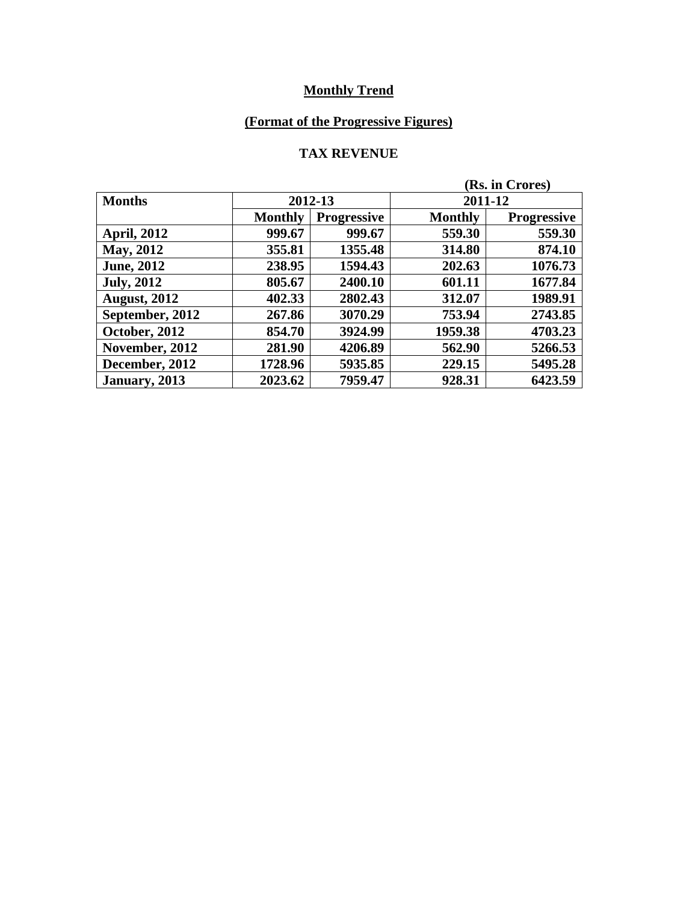# **(Format of the Progressive Figures)**

#### **TAX REVENUE**

| (Rs. in Crores)     |                |                    |                |                    |
|---------------------|----------------|--------------------|----------------|--------------------|
| <b>Months</b>       | 2012-13        |                    | 2011-12        |                    |
|                     | <b>Monthly</b> | <b>Progressive</b> | <b>Monthly</b> | <b>Progressive</b> |
| <b>April, 2012</b>  | 999.67         | 999.67             | 559.30         | 559.30             |
| <b>May, 2012</b>    | 355.81         | 1355.48            | 314.80         | 874.10             |
| <b>June, 2012</b>   | 238.95         | 1594.43            | 202.63         | 1076.73            |
| <b>July, 2012</b>   | 805.67         | 2400.10            | 601.11         | 1677.84            |
| <b>August, 2012</b> | 402.33         | 2802.43            | 312.07         | 1989.91            |
| September, 2012     | 267.86         | 3070.29            | 753.94         | 2743.85            |
| October, 2012       | 854.70         | 3924.99            | 1959.38        | 4703.23            |
| November, 2012      | 281.90         | 4206.89            | 562.90         | 5266.53            |
| December, 2012      | 1728.96        | 5935.85            | 229.15         | 5495.28            |
| January, 2013       | 2023.62        | 7959.47            | 928.31         | 6423.59            |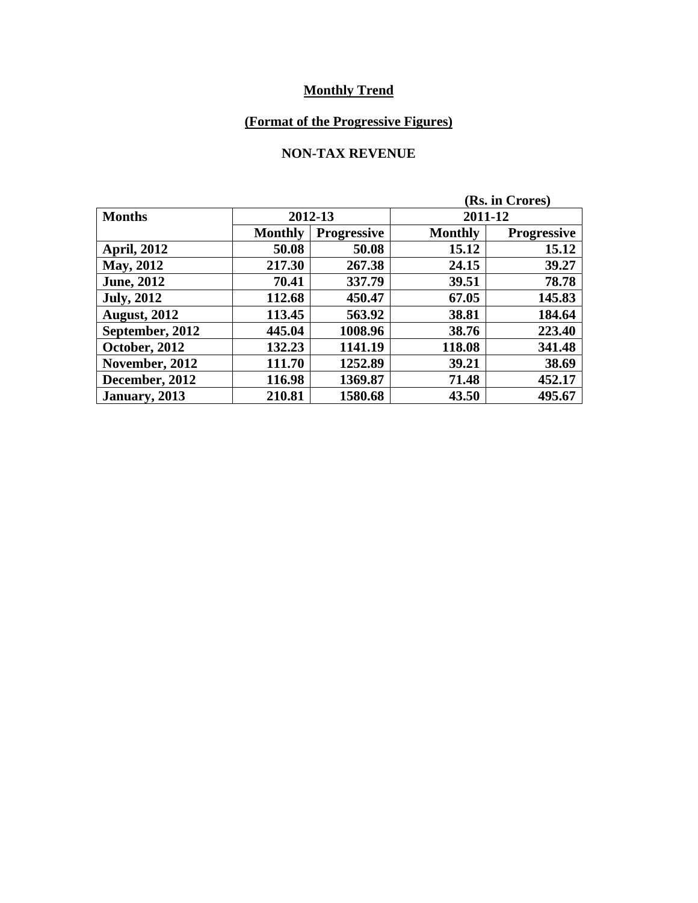# **(Format of the Progressive Figures)**

#### **NON-TAX REVENUE**

| (Rs. in Crores)     |                |                    |                |                    |  |
|---------------------|----------------|--------------------|----------------|--------------------|--|
| <b>Months</b>       | 2012-13        |                    |                | 2011-12            |  |
|                     | <b>Monthly</b> | <b>Progressive</b> | <b>Monthly</b> | <b>Progressive</b> |  |
| <b>April, 2012</b>  | 50.08          | 50.08              | 15.12          | 15.12              |  |
| May, 2012           | 217.30         | 267.38             | 24.15          | 39.27              |  |
| <b>June, 2012</b>   | 70.41          | 337.79             | 39.51          | 78.78              |  |
| <b>July, 2012</b>   | 112.68         | 450.47             | 67.05          | 145.83             |  |
| <b>August, 2012</b> | 113.45         | 563.92             | 38.81          | 184.64             |  |
| September, 2012     | 445.04         | 1008.96            | 38.76          | 223.40             |  |
| October, 2012       | 132.23         | 1141.19            | 118.08         | 341.48             |  |
| November, 2012      | 111.70         | 1252.89            | 39.21          | 38.69              |  |
| December, 2012      | 116.98         | 1369.87            | 71.48          | 452.17             |  |
| January, 2013       | 210.81         | 1580.68            | 43.50          | 495.67             |  |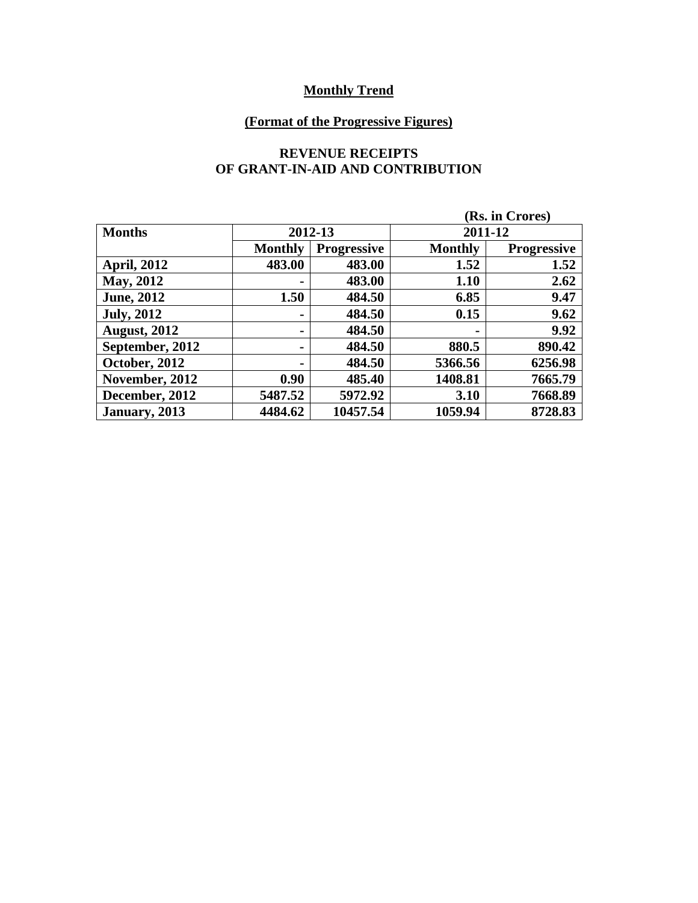# **(Format of the Progressive Figures)**

#### **REVENUE RECEIPTS OF GRANT-IN-AID AND CONTRIBUTION**

|                      | (Rs. in Crores) |                    |                |                    |  |
|----------------------|-----------------|--------------------|----------------|--------------------|--|
| <b>Months</b>        | 2012-13         |                    |                | 2011-12            |  |
|                      | <b>Monthly</b>  | <b>Progressive</b> | <b>Monthly</b> | <b>Progressive</b> |  |
| <b>April, 2012</b>   | 483.00          | 483.00             | 1.52           | 1.52               |  |
| May, 2012            |                 | 483.00             | 1.10           | 2.62               |  |
| <b>June, 2012</b>    | 1.50            | 484.50             | 6.85           | 9.47               |  |
| <b>July, 2012</b>    |                 | 484.50             | 0.15           | 9.62               |  |
| <b>August, 2012</b>  |                 | 484.50             | $\blacksquare$ | 9.92               |  |
| September, 2012      |                 | 484.50             | 880.5          | 890.42             |  |
| <b>October, 2012</b> |                 | 484.50             | 5366.56        | 6256.98            |  |
| November, 2012       | 0.90            | 485.40             | 1408.81        | 7665.79            |  |
| December, 2012       | 5487.52         | 5972.92            | 3.10           | 7668.89            |  |
| January, 2013        | 4484.62         | 10457.54           | 1059.94        | 8728.83            |  |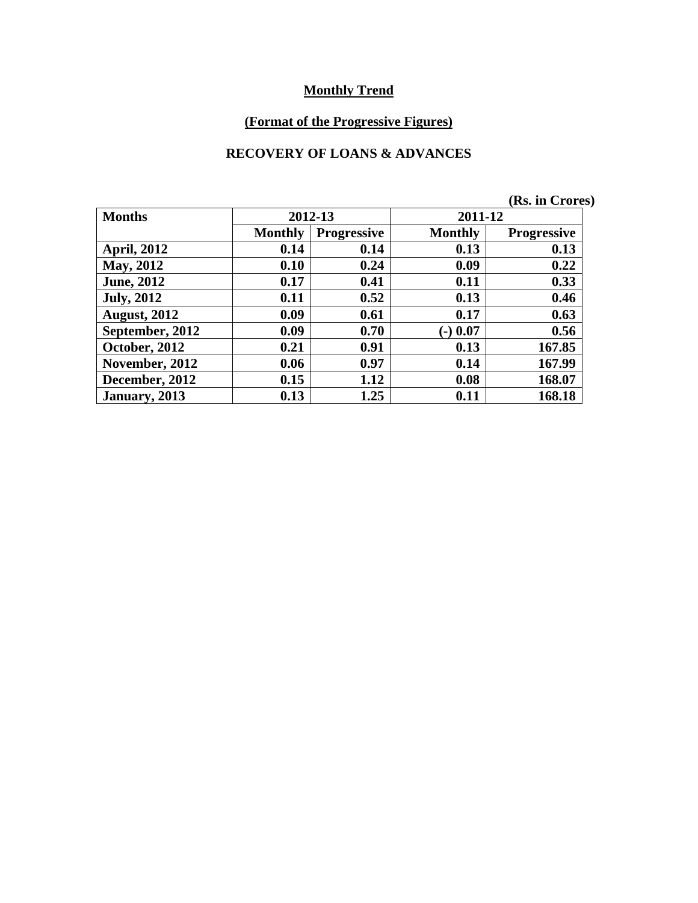# **(Format of the Progressive Figures)**

#### **RECOVERY OF LOANS & ADVANCES**

|                     |                |                    |                | (Rs. in Crores)    |
|---------------------|----------------|--------------------|----------------|--------------------|
| <b>Months</b>       |                | 2012-13            | 2011-12        |                    |
|                     | <b>Monthly</b> | <b>Progressive</b> | <b>Monthly</b> | <b>Progressive</b> |
| <b>April, 2012</b>  | 0.14           | 0.14               | 0.13           | 0.13               |
| <b>May, 2012</b>    | 0.10           | 0.24               | 0.09           | 0.22               |
| <b>June, 2012</b>   | 0.17           | 0.41               | 0.11           | 0.33               |
| <b>July, 2012</b>   | 0.11           | 0.52               | 0.13           | 0.46               |
| <b>August, 2012</b> | 0.09           | 0.61               | 0.17           | 0.63               |
| September, 2012     | 0.09           | 0.70               | $(-) 0.07$     | 0.56               |
| October, 2012       | 0.21           | 0.91               | 0.13           | 167.85             |
| November, 2012      | 0.06           | 0.97               | 0.14           | 167.99             |
| December, 2012      | 0.15           | 1.12               | 0.08           | 168.07             |
| January, 2013       | 0.13           | 1.25               | 0.11           | 168.18             |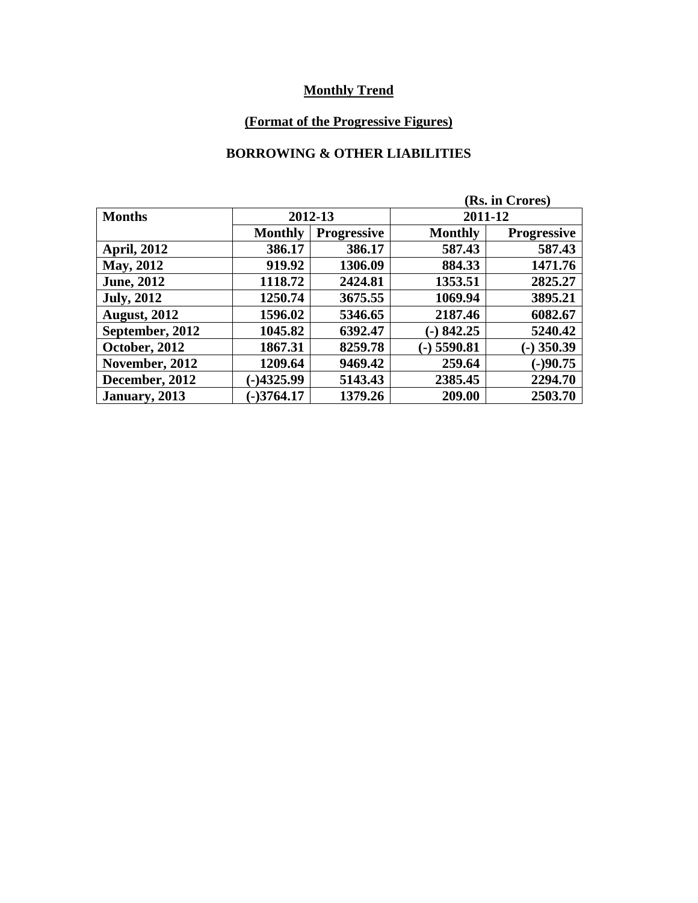# **(Format of the Progressive Figures)**

#### **BORROWING & OTHER LIABILITIES**

| (Rs. in Crores)     |                |                    |                |                    |  |
|---------------------|----------------|--------------------|----------------|--------------------|--|
| <b>Months</b>       | 2012-13        |                    |                | 2011-12            |  |
|                     | <b>Monthly</b> | <b>Progressive</b> | <b>Monthly</b> | <b>Progressive</b> |  |
| <b>April, 2012</b>  | 386.17         | 386.17             | 587.43         | 587.43             |  |
| May, 2012           | 919.92         | 1306.09            | 884.33         | 1471.76            |  |
| <b>June, 2012</b>   | 1118.72        | 2424.81            | 1353.51        | 2825.27            |  |
| <b>July, 2012</b>   | 1250.74        | 3675.55            | 1069.94        | 3895.21            |  |
| <b>August, 2012</b> | 1596.02        | 5346.65            | 2187.46        | 6082.67            |  |
| September, 2012     | 1045.82        | 6392.47            | $-)842.25$     | 5240.42            |  |
| October, 2012       | 1867.31        | 8259.78            | $(-)$ 5590.81  | $(-)$ 350.39       |  |
| November, 2012      | 1209.64        | 9469.42            | 259.64         | $(-)90.75$         |  |
| December, 2012      | $-)4325.99$    | 5143.43            | 2385.45        | 2294.70            |  |
| January, 2013       | $-3764.17$     | 1379.26            | 209.00         | 2503.70            |  |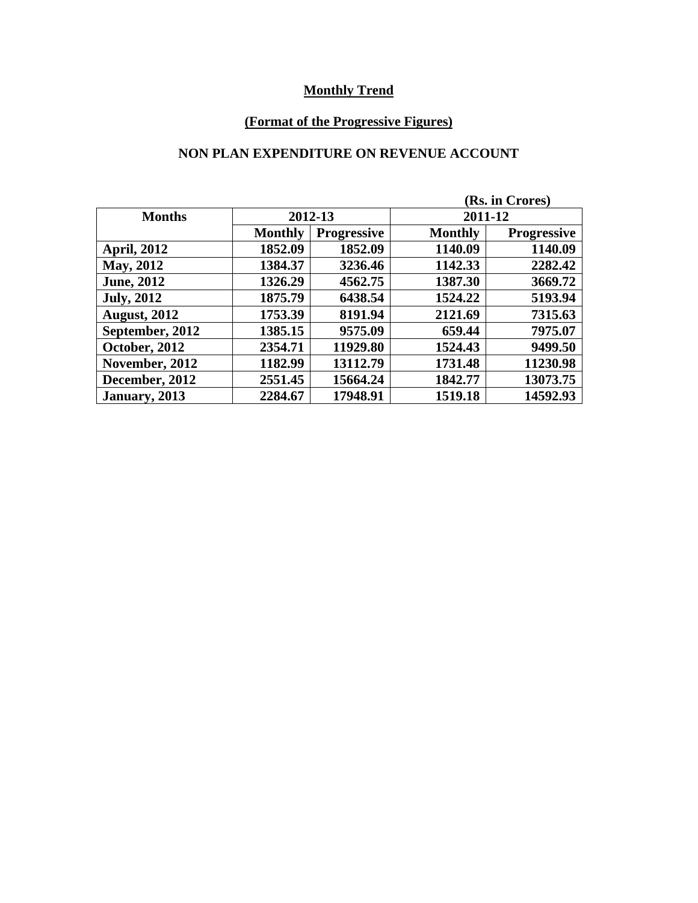# **(Format of the Progressive Figures)**

#### **NON PLAN EXPENDITURE ON REVENUE ACCOUNT**

| (Rs. in Crores)     |                |                    |                |                    |  |
|---------------------|----------------|--------------------|----------------|--------------------|--|
| <b>Months</b>       | 2012-13        |                    |                | 2011-12            |  |
|                     | <b>Monthly</b> | <b>Progressive</b> | <b>Monthly</b> | <b>Progressive</b> |  |
| <b>April, 2012</b>  | 1852.09        | 1852.09            | 1140.09        | 1140.09            |  |
| May, 2012           | 1384.37        | 3236.46            | 1142.33        | 2282.42            |  |
| <b>June, 2012</b>   | 1326.29        | 4562.75            | 1387.30        | 3669.72            |  |
| <b>July, 2012</b>   | 1875.79        | 6438.54            | 1524.22        | 5193.94            |  |
| <b>August, 2012</b> | 1753.39        | 8191.94            | 2121.69        | 7315.63            |  |
| September, 2012     | 1385.15        | 9575.09            | 659.44         | 7975.07            |  |
| October, 2012       | 2354.71        | 11929.80           | 1524.43        | 9499.50            |  |
| November, 2012      | 1182.99        | 13112.79           | 1731.48        | 11230.98           |  |
| December, 2012      | 2551.45        | 15664.24           | 1842.77        | 13073.75           |  |
| January, 2013       | 2284.67        | 17948.91           | 1519.18        | 14592.93           |  |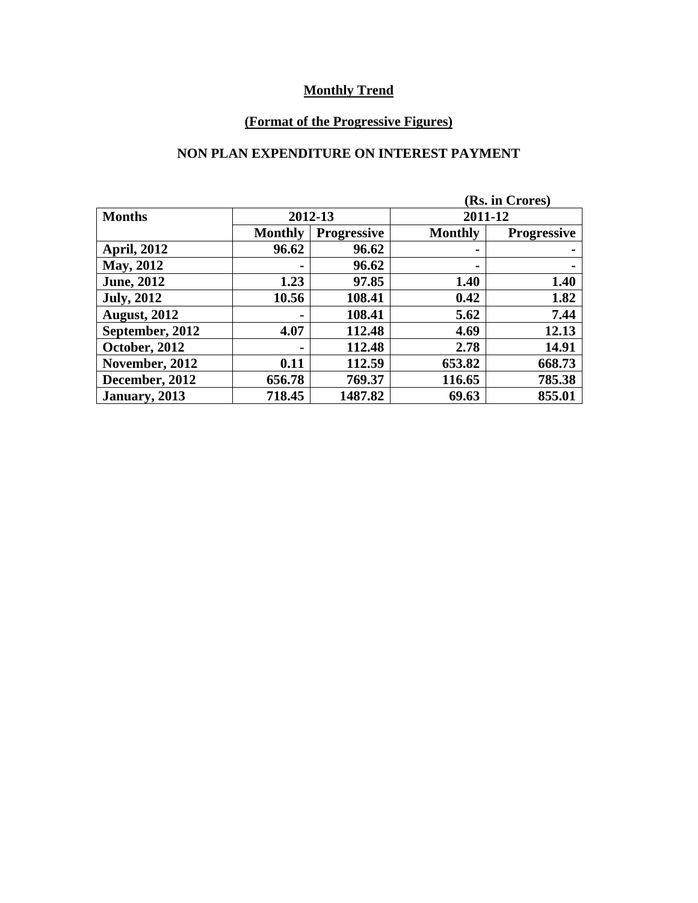# **(Format of the Progressive Figures)**

#### **NON PLAN EXPENDITURE ON INTEREST PAYMENT**

|                     |                | (Rs. in Crores)    |                |                    |  |
|---------------------|----------------|--------------------|----------------|--------------------|--|
| <b>Months</b>       | 2012-13        |                    |                | 2011-12            |  |
|                     | <b>Monthly</b> | <b>Progressive</b> | <b>Monthly</b> | <b>Progressive</b> |  |
| <b>April, 2012</b>  | 96.62          | 96.62              | ۰              |                    |  |
| <b>May, 2012</b>    |                | 96.62              | ۰              |                    |  |
| <b>June, 2012</b>   | 1.23           | 97.85              | 1.40           | 1.40               |  |
| <b>July, 2012</b>   | 10.56          | 108.41             | 0.42           | 1.82               |  |
| <b>August, 2012</b> |                | 108.41             | 5.62           | 7.44               |  |
| September, 2012     | 4.07           | 112.48             | 4.69           | 12.13              |  |
| October, 2012       |                | 112.48             | 2.78           | 14.91              |  |
| November, 2012      | 0.11           | 112.59             | 653.82         | 668.73             |  |
| December, 2012      | 656.78         | 769.37             | 116.65         | 785.38             |  |
| January, 2013       | 718.45         | 1487.82            | 69.63          | 855.01             |  |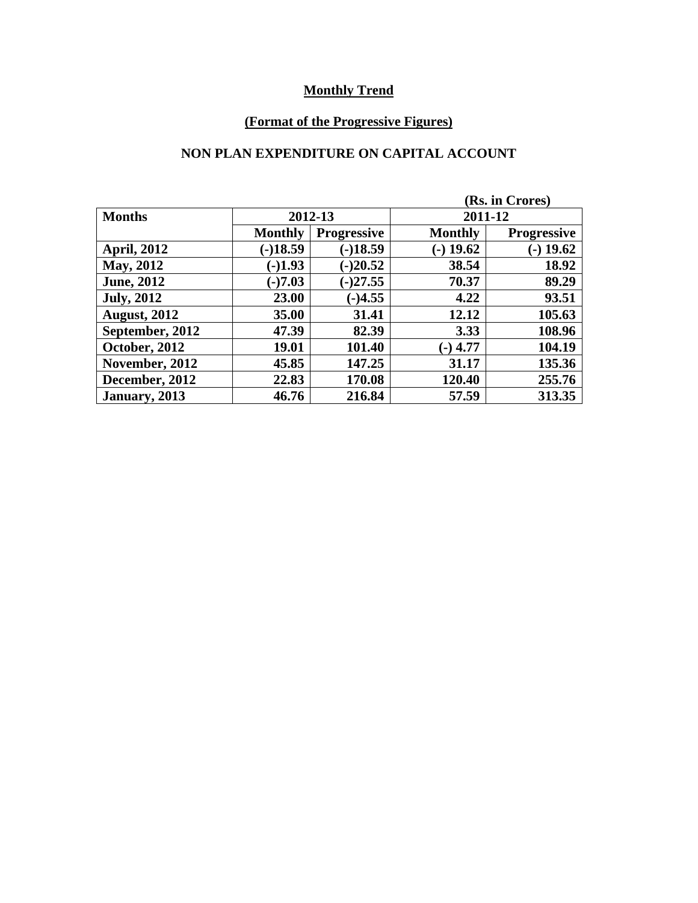# **(Format of the Progressive Figures)**

#### **NON PLAN EXPENDITURE ON CAPITAL ACCOUNT**

|                     |                |                    |                | (Rs. in Crores)    |  |
|---------------------|----------------|--------------------|----------------|--------------------|--|
| <b>Months</b>       | 2012-13        |                    |                | 2011-12            |  |
|                     | <b>Monthly</b> | <b>Progressive</b> | <b>Monthly</b> | <b>Progressive</b> |  |
| <b>April, 2012</b>  | $(-)18.59$     | $(-)18.59$         | $(-)$ 19.62    | $-$ ) 19.62        |  |
| May, 2012           | $(-)1.93$      | $(-)20.52$         | 38.54          | 18.92              |  |
| <b>June, 2012</b>   | $(-)7.03$      | $(-)27.55$         | 70.37          | 89.29              |  |
| <b>July, 2012</b>   | 23.00          | $(-)4.55$          | 4.22           | 93.51              |  |
| <b>August, 2012</b> | 35.00          | 31.41              | 12.12          | 105.63             |  |
| September, 2012     | 47.39          | 82.39              | 3.33           | 108.96             |  |
| October, 2012       | 19.01          | 101.40             | $(-)$ 4.77     | 104.19             |  |
| November, 2012      | 45.85          | 147.25             | 31.17          | 135.36             |  |
| December, 2012      | 22.83          | 170.08             | 120.40         | 255.76             |  |
| January, 2013       | 46.76          | 216.84             | 57.59          | 313.35             |  |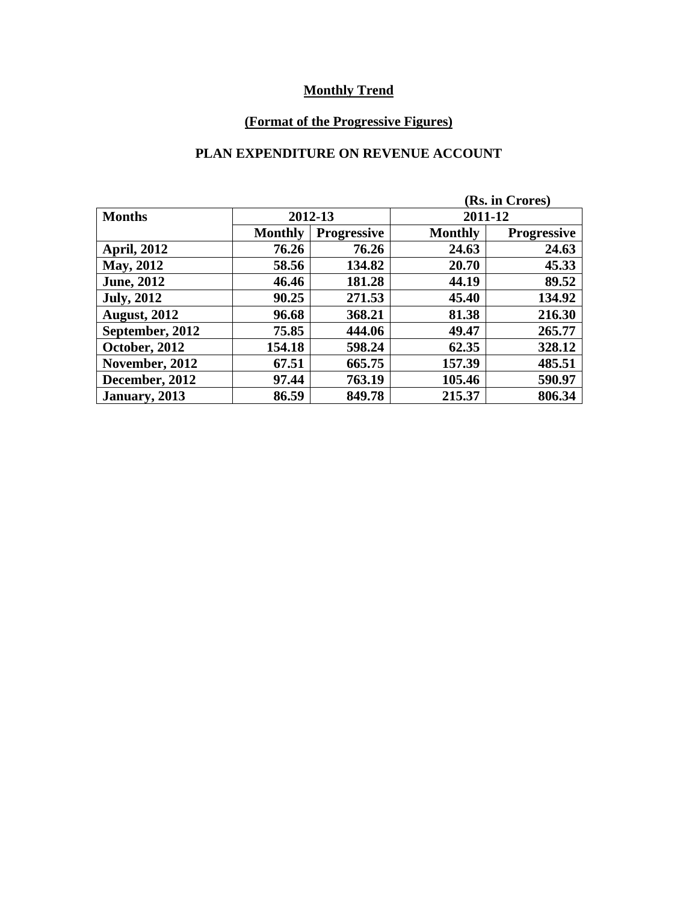# **(Format of the Progressive Figures)**

#### **PLAN EXPENDITURE ON REVENUE ACCOUNT**

| (Rs. in Crores)     |                |                    |                |                    |  |
|---------------------|----------------|--------------------|----------------|--------------------|--|
| <b>Months</b>       | 2012-13        |                    |                | 2011-12            |  |
|                     | <b>Monthly</b> | <b>Progressive</b> | <b>Monthly</b> | <b>Progressive</b> |  |
| <b>April, 2012</b>  | 76.26          | 76.26              | 24.63          | 24.63              |  |
| May, 2012           | 58.56          | 134.82             | 20.70          | 45.33              |  |
| <b>June, 2012</b>   | 46.46          | 181.28             | 44.19          | 89.52              |  |
| <b>July, 2012</b>   | 90.25          | 271.53             | 45.40          | 134.92             |  |
| <b>August, 2012</b> | 96.68          | 368.21             | 81.38          | 216.30             |  |
| September, 2012     | 75.85          | 444.06             | 49.47          | 265.77             |  |
| October, 2012       | 154.18         | 598.24             | 62.35          | 328.12             |  |
| November, 2012      | 67.51          | 665.75             | 157.39         | 485.51             |  |
| December, 2012      | 97.44          | 763.19             | 105.46         | 590.97             |  |
| January, 2013       | 86.59          | 849.78             | 215.37         | 806.34             |  |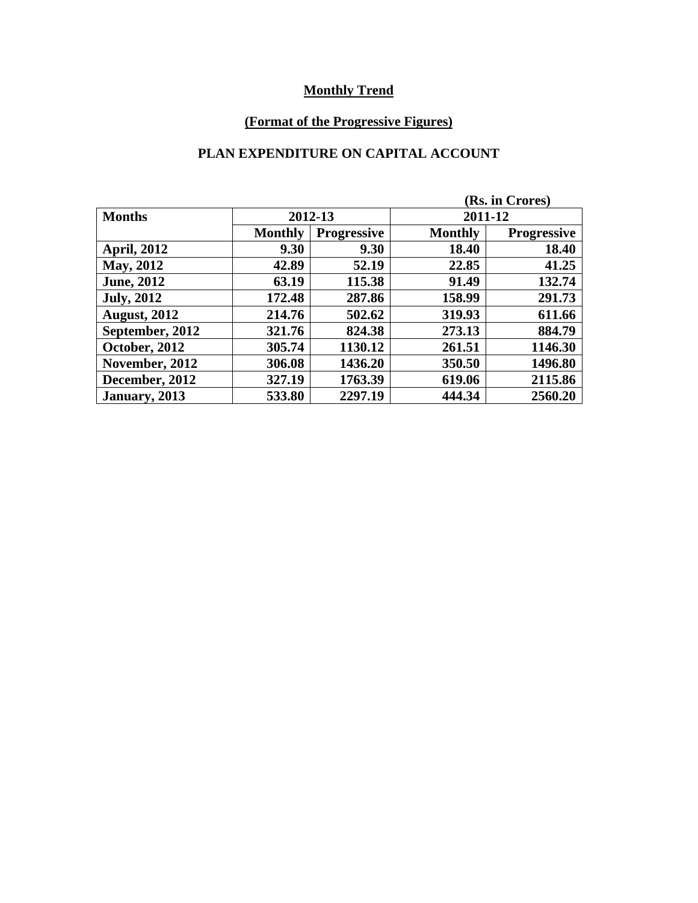# **(Format of the Progressive Figures)**

# **PLAN EXPENDITURE ON CAPITAL ACCOUNT**

|                     |                |                    |                | (Rs. in Crores)    |  |
|---------------------|----------------|--------------------|----------------|--------------------|--|
| <b>Months</b>       |                | 2012-13            |                | 2011-12            |  |
|                     | <b>Monthly</b> | <b>Progressive</b> | <b>Monthly</b> | <b>Progressive</b> |  |
| <b>April, 2012</b>  | 9.30           | 9.30               | 18.40          | 18.40              |  |
| <b>May, 2012</b>    | 42.89          | 52.19              | 22.85          | 41.25              |  |
| <b>June, 2012</b>   | 63.19          | 115.38             | 91.49          | 132.74             |  |
| <b>July, 2012</b>   | 172.48         | 287.86             | 158.99         | 291.73             |  |
| <b>August, 2012</b> | 214.76         | 502.62             | 319.93         | 611.66             |  |
| September, 2012     | 321.76         | 824.38             | 273.13         | 884.79             |  |
| October, 2012       | 305.74         | 1130.12            | 261.51         | 1146.30            |  |
| November, 2012      | 306.08         | 1436.20            | 350.50         | 1496.80            |  |
| December, 2012      | 327.19         | 1763.39            | 619.06         | 2115.86            |  |
| January, 2013       | 533.80         | 2297.19            | 444.34         | 2560.20            |  |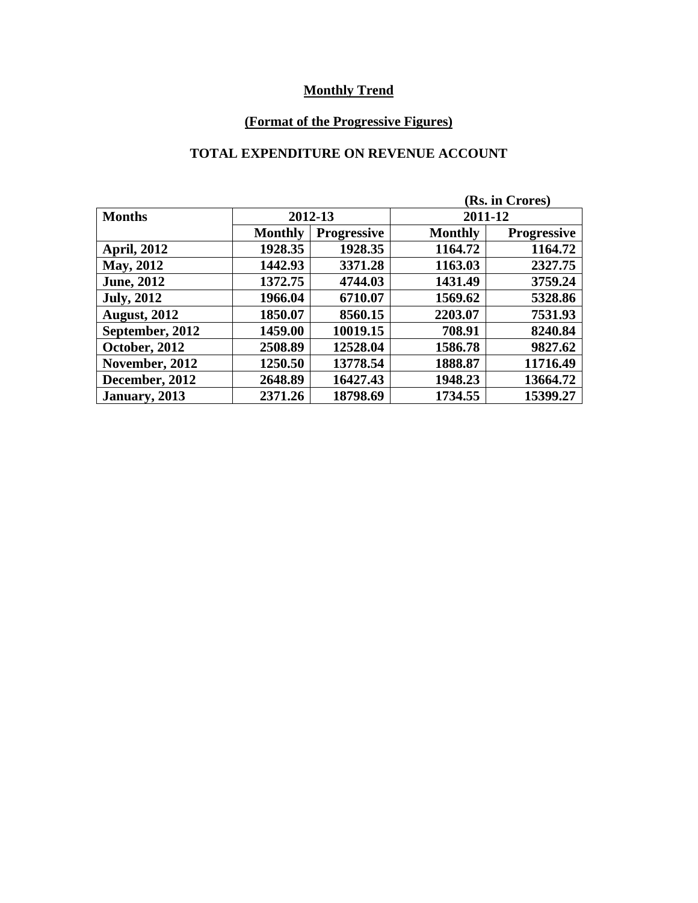# **(Format of the Progressive Figures)**

#### **TOTAL EXPENDITURE ON REVENUE ACCOUNT**

| (Rs. in Crores)     |                |                    |                |                    |  |
|---------------------|----------------|--------------------|----------------|--------------------|--|
| <b>Months</b>       | 2012-13        |                    |                | 2011-12            |  |
|                     | <b>Monthly</b> | <b>Progressive</b> | <b>Monthly</b> | <b>Progressive</b> |  |
| <b>April, 2012</b>  | 1928.35        | 1928.35            | 1164.72        | 1164.72            |  |
| <b>May, 2012</b>    | 1442.93        | 3371.28            | 1163.03        | 2327.75            |  |
| <b>June, 2012</b>   | 1372.75        | 4744.03            | 1431.49        | 3759.24            |  |
| <b>July, 2012</b>   | 1966.04        | 6710.07            | 1569.62        | 5328.86            |  |
| <b>August, 2012</b> | 1850.07        | 8560.15            | 2203.07        | 7531.93            |  |
| September, 2012     | 1459.00        | 10019.15           | 708.91         | 8240.84            |  |
| October, 2012       | 2508.89        | 12528.04           | 1586.78        | 9827.62            |  |
| November, 2012      | 1250.50        | 13778.54           | 1888.87        | 11716.49           |  |
| December, 2012      | 2648.89        | 16427.43           | 1948.23        | 13664.72           |  |
| January, 2013       | 2371.26        | 18798.69           | 1734.55        | 15399.27           |  |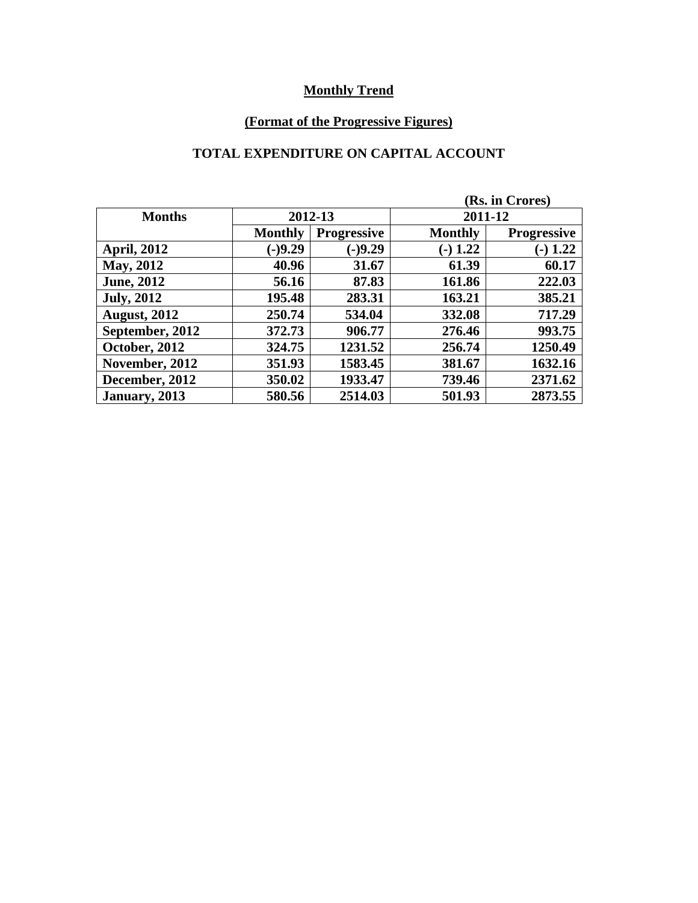# **(Format of the Progressive Figures)**

# **TOTAL EXPENDITURE ON CAPITAL ACCOUNT**

|                     |                | (Rs. in Crores)    |                |                    |  |  |
|---------------------|----------------|--------------------|----------------|--------------------|--|--|
| <b>Months</b>       | 2012-13        |                    |                | 2011-12            |  |  |
|                     | <b>Monthly</b> | <b>Progressive</b> | <b>Monthly</b> | <b>Progressive</b> |  |  |
| <b>April, 2012</b>  | $(-)9.29$      | $(-)9.29$          | $(-) 1.22$     | $-1.22$            |  |  |
| May, 2012           | 40.96          | 31.67              | 61.39          | 60.17              |  |  |
| <b>June, 2012</b>   | 56.16          | 87.83              | 161.86         | 222.03             |  |  |
| <b>July, 2012</b>   | 195.48         | 283.31             | 163.21         | 385.21             |  |  |
| <b>August, 2012</b> | 250.74         | 534.04             | 332.08         | 717.29             |  |  |
| September, 2012     | 372.73         | 906.77             | 276.46         | 993.75             |  |  |
| October, 2012       | 324.75         | 1231.52            | 256.74         | 1250.49            |  |  |
| November, 2012      | 351.93         | 1583.45            | 381.67         | 1632.16            |  |  |
| December, 2012      | 350.02         | 1933.47            | 739.46         | 2371.62            |  |  |
| January, 2013       | 580.56         | 2514.03            | 501.93         | 2873.55            |  |  |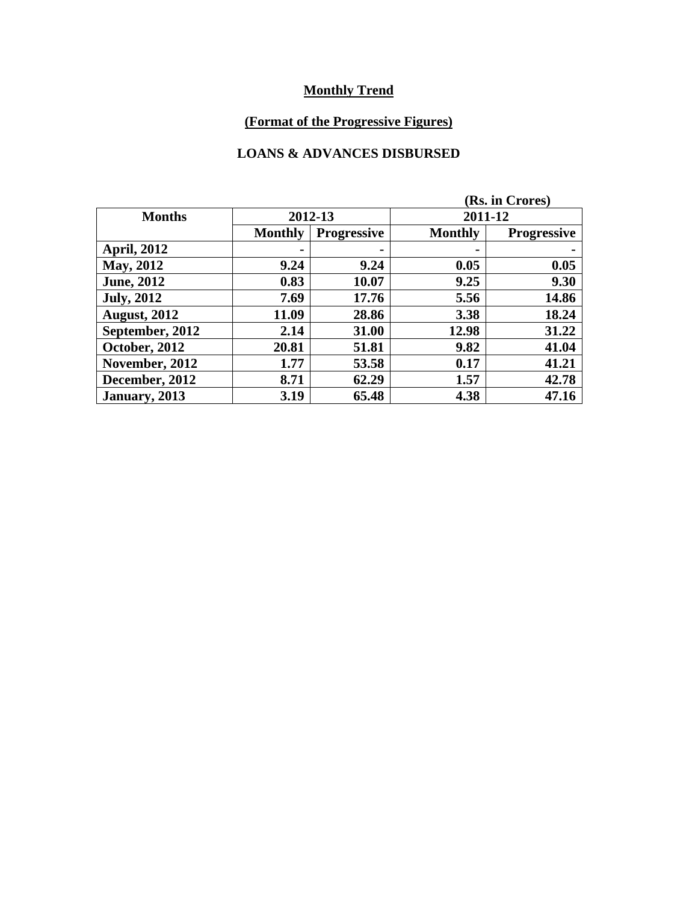# **(Format of the Progressive Figures)**

#### **LOANS & ADVANCES DISBURSED**

|                     |                |                    |                | (Rs. in Crores)    |  |  |  |
|---------------------|----------------|--------------------|----------------|--------------------|--|--|--|
| <b>Months</b>       |                | 2012-13            |                | 2011-12            |  |  |  |
|                     | <b>Monthly</b> | <b>Progressive</b> | <b>Monthly</b> | <b>Progressive</b> |  |  |  |
| <b>April, 2012</b>  |                |                    |                |                    |  |  |  |
| <b>May, 2012</b>    | 9.24           | 9.24               | 0.05           | 0.05               |  |  |  |
| <b>June, 2012</b>   | 0.83           | 10.07              | 9.25           | 9.30               |  |  |  |
| <b>July, 2012</b>   | 7.69           | 17.76              | 5.56           | 14.86              |  |  |  |
| <b>August, 2012</b> | 11.09          | 28.86              | 3.38           | 18.24              |  |  |  |
| September, 2012     | 2.14           | 31.00              | 12.98          | 31.22              |  |  |  |
| October, 2012       | 20.81          | 51.81              | 9.82           | 41.04              |  |  |  |
| November, 2012      | 1.77           | 53.58              | 0.17           | 41.21              |  |  |  |
| December, 2012      | 8.71           | 62.29              | 1.57           | 42.78              |  |  |  |
| January, 2013       | 3.19           | 65.48              | 4.38           | 47.16              |  |  |  |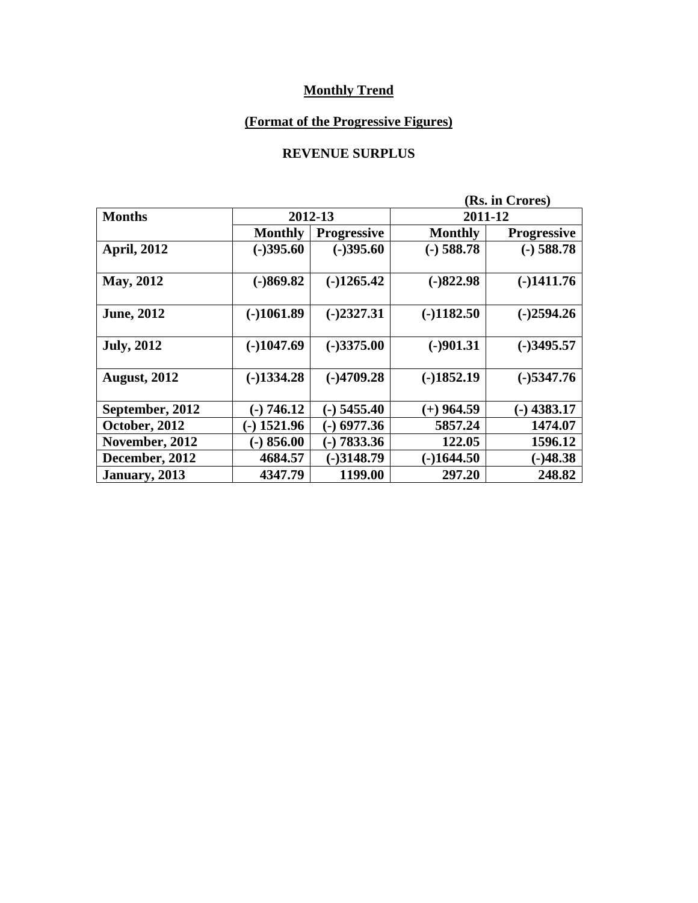# **(Format of the Progressive Figures)**

#### **REVENUE SURPLUS**

|                     | (Rs. in Crores) |                    |                |                    |  |
|---------------------|-----------------|--------------------|----------------|--------------------|--|
| <b>Months</b>       | 2012-13         |                    | 2011-12        |                    |  |
|                     | <b>Monthly</b>  | <b>Progressive</b> | <b>Monthly</b> | <b>Progressive</b> |  |
| <b>April, 2012</b>  | $(-)395.60$     | $(-)395.60$        | $(-)$ 588.78   | $(-)$ 588.78       |  |
| May, 2012           | $(-)869.82$     | $(-)1265.42$       | $(-)822.98$    | $(-)1411.76$       |  |
| <b>June, 2012</b>   | $(-)1061.89$    | $(-)2327.31$       | $(-)1182.50$   | $(-)2594.26$       |  |
| <b>July, 2012</b>   | $(-)1047.69$    | $(-)3375.00$       | $(-)901.31$    | $(-)3495.57$       |  |
| <b>August, 2012</b> | $(-)1334.28$    | $(-)4709.28$       | $(-)1852.19$   | $(-)$ 5347.76      |  |
| September, 2012     | $(-) 746.12$    | $(-)$ 5455.40      | $(+)$ 964.59   | $(-)$ 4383.17      |  |
| October, 2012       | $(-)$ 1521.96   | $(-)$ 6977.36      | 5857.24        | 1474.07            |  |
| November, 2012      | $(-) 856.00$    | $(-) 7833.36$      | 122.05         | 1596.12            |  |
| December, 2012      | 4684.57         | $(-)3148.79$       | $(-)1644.50$   | $(-)48.38$         |  |
| January, 2013       | 4347.79         | 1199.00            | 297.20         | 248.82             |  |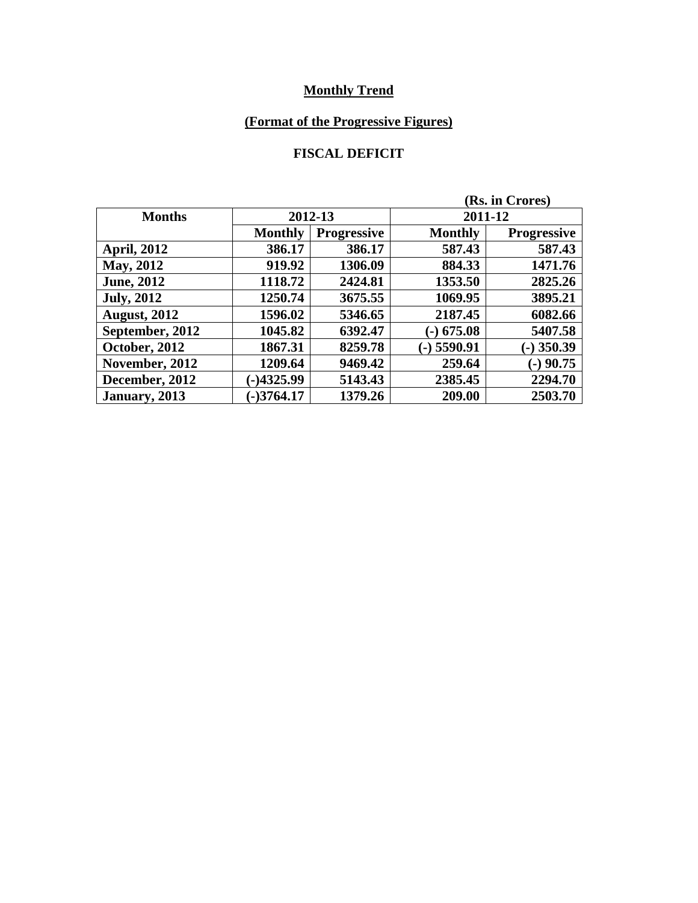# **(Format of the Progressive Figures)**

### **FISCAL DEFICIT**

|                     |                |                    | (Rs. in Crores) |                    |  |  |
|---------------------|----------------|--------------------|-----------------|--------------------|--|--|
| <b>Months</b>       | 2012-13        |                    | 2011-12         |                    |  |  |
|                     | <b>Monthly</b> | <b>Progressive</b> | <b>Monthly</b>  | <b>Progressive</b> |  |  |
| <b>April, 2012</b>  | 386.17         | 386.17             | 587.43          | 587.43             |  |  |
| May, 2012           | 919.92         | 1306.09            | 884.33          | 1471.76            |  |  |
| <b>June, 2012</b>   | 1118.72        | 2424.81            | 1353.50         | 2825.26            |  |  |
| <b>July, 2012</b>   | 1250.74        | 3675.55            | 1069.95         | 3895.21            |  |  |
| <b>August, 2012</b> | 1596.02        | 5346.65            | 2187.45         | 6082.66            |  |  |
| September, 2012     | 1045.82        | 6392.47            | $(-)$ 675.08    | 5407.58            |  |  |
| October, 2012       | 1867.31        | 8259.78            | $(-)$ 5590.91   | $(-)$ 350.39       |  |  |
| November, 2012      | 1209.64        | 9469.42            | 259.64          | $(-)$ 90.75        |  |  |
| December, 2012      | $-)4325.99$    | 5143.43            | 2385.45         | 2294.70            |  |  |
| January, 2013       | $-3764.17$     | 1379.26            | 209.00          | 2503.70            |  |  |